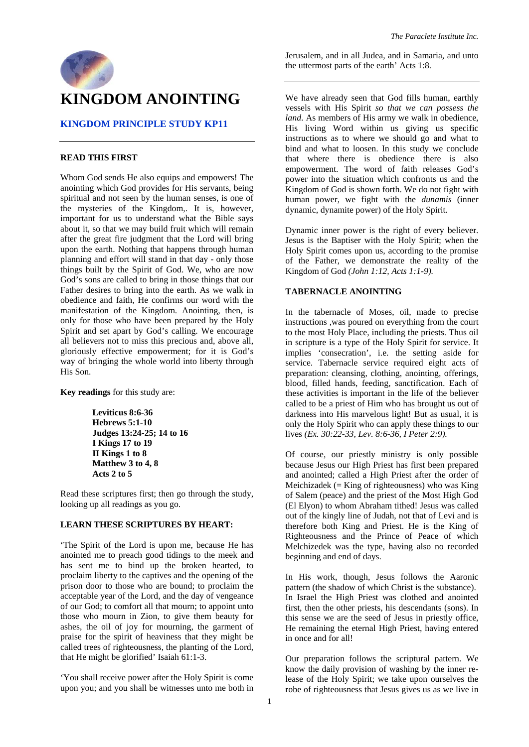

### **KINGDOM PRINCIPLE STUDY KP11**

#### **READ THIS FIRST**

Whom God sends He also equips and empowers! The anointing which God provides for His servants, being spiritual and not seen by the human senses, is one of the mysteries of the Kingdom,. It is, however, important for us to understand what the Bible says about it, so that we may build fruit which will remain after the great fire judgment that the Lord will bring upon the earth. Nothing that happens through human planning and effort will stand in that day - only those things built by the Spirit of God. We, who are now God's sons are called to bring in those things that our Father desires to bring into the earth. As we walk in obedience and faith, He confirms our word with the manifestation of the Kingdom. Anointing, then, is only for those who have been prepared by the Holy Spirit and set apart by God's calling. We encourage all believers not to miss this precious and, above all, gloriously effective empowerment; for it is God's way of bringing the whole world into liberty through His Son.

**Key readings** for this study are:

**Leviticus 8:6-36 Hebrews 5:1-10 Judges 13:24-25; 14 to 16 I Kings 17 to 19 II Kings 1 to 8 Matthew 3 to 4, 8 Acts 2 to 5** 

Read these scriptures first; then go through the study, looking up all readings as you go.

#### **LEARN THESE SCRIPTURES BY HEART:**

'The Spirit of the Lord is upon me, because He has anointed me to preach good tidings to the meek and has sent me to bind up the broken hearted, to proclaim liberty to the captives and the opening of the prison door to those who are bound; to proclaim the acceptable year of the Lord, and the day of vengeance of our God; to comfort all that mourn; to appoint unto those who mourn in Zion, to give them beauty for ashes, the oil of joy for mourning, the garment of praise for the spirit of heaviness that they might be called trees of righteousness, the planting of the Lord, that He might be glorified' Isaiah 61:1-3.

'You shall receive power after the Holy Spirit is come upon you; and you shall be witnesses unto me both in Jerusalem, and in all Judea, and in Samaria, and unto the uttermost parts of the earth' Acts 1:8.

We have already seen that God fills human, earthly vessels with His Spirit *so that we can possess the land*. As members of His army we walk in obedience, His living Word within us giving us specific instructions as to where we should go and what to bind and what to loosen. In this study we conclude that where there is obedience there is also empowerment. The word of faith releases God's power into the situation which confronts us and the Kingdom of God is shown forth. We do not fight with human power, we fight with the *dunamis* (inner dynamic, dynamite power) of the Holy Spirit.

Dynamic inner power is the right of every believer. Jesus is the Baptiser with the Holy Spirit; when the Holy Spirit comes upon us, according to the promise of the Father, we demonstrate the reality of the Kingdom of God *(John 1:12, Acts 1:1-9).*

### **TABERNACLE ANOINTING**

In the tabernacle of Moses, oil, made to precise instructions ,was poured on everything from the court to the most Holy Place, including the priests. Thus oil in scripture is a type of the Holy Spirit for service. It implies 'consecration', i.e. the setting aside for service. Tabernacle service required eight acts of preparation: cleansing, clothing, anointing, offerings, blood, filled hands, feeding, sanctification. Each of these activities is important in the life of the believer called to be a priest of Him who has brought us out of darkness into His marvelous light! But as usual, it is only the Holy Spirit who can apply these things to our lives *(Ex. 30:22-33, Lev. 8:6-36, I Peter 2:9).*

Of course, our priestly ministry is only possible because Jesus our High Priest has first been prepared and anointed; called a High Priest after the order of Meichizadek (=  $King$  of righteousness) who was King of Salem (peace) and the priest of the Most High God (El Elyon) to whom Abraham tithed! Jesus was called out of the kingly line of Judah, not that of Levi and is therefore both King and Priest. He is the King of Righteousness and the Prince of Peace of which Melchizedek was the type, having also no recorded beginning and end of days.

In His work, though, Jesus follows the Aaronic pattern (the shadow of which Christ is the substance). In Israel the High Priest was clothed and anointed first, then the other priests, his descendants (sons). In this sense we are the seed of Jesus in priestly office, He remaining the eternal High Priest, having entered in once and for all!

Our preparation follows the scriptural pattern. We know the daily provision of washing by the inner release of the Holy Spirit; we take upon ourselves the robe of righteousness that Jesus gives us as we live in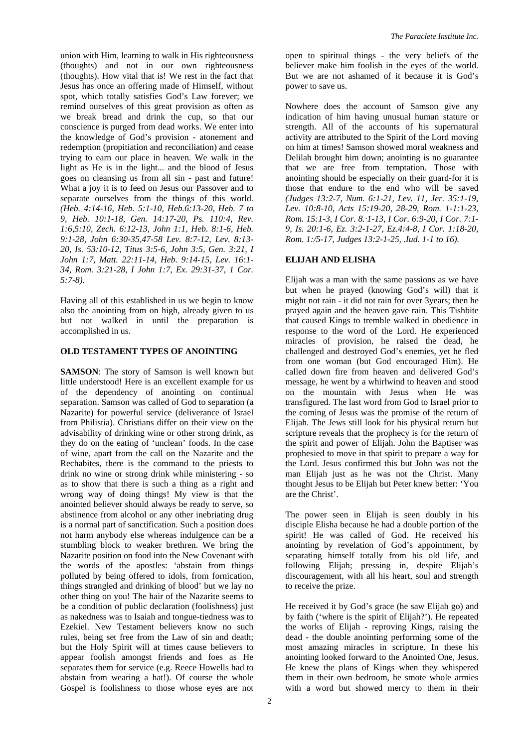union with Him, learning to walk in His righteousness (thoughts) and not in our own righteousness (thoughts). How vital that is! We rest in the fact that Jesus has once an offering made of Himself, without spot, which totally satisfies God's Law forever; we remind ourselves of this great provision as often as we break bread and drink the cup, so that our conscience is purged from dead works. We enter into the knowledge of God's provision - atonement and redemption (propitiation and reconciliation) and cease trying to earn our place in heaven. We walk in the light as He is in the light... and the blood of Jesus goes on cleansing us from all sin - past and future! What a joy it is to feed on Jesus our Passover and to separate ourselves from the things of this world. *(Heb. 4:14-16, Heb. 5:1-10, Heb.6:13-20, Heb. 7 to 9, Heb. 10:1-18, Gen. 14:17-20, Ps. 110:4, Rev. 1:6,5:10, Zech. 6:12-13, John 1:1, Heb. 8:1-6, Heb. 9:1-28, John 6:30-35,47-58 Lev. 8:7-12, Lev. 8:13- 20, Is. 53:10-12, Titus 3:5-6, John 3:5, Gen. 3:21, I John 1:7, Matt. 22:11-14, Heb. 9:14-15, Lev. 16:1- 34, Rom. 3:21-28, I John 1:7, Ex. 29:31-37, 1 Cor. 5:7-8).* 

Having all of this established in us we begin to know also the anointing from on high, already given to us but not walked in until the preparation is accomplished in us.

#### **OLD TESTAMENT TYPES OF ANOINTING**

**SAMSON**: The story of Samson is well known but little understood! Here is an excellent example for us of the dependency of anointing on continual separation. Samson was called of God to separation (a Nazarite) for powerful service (deliverance of Israel from Philistia). Christians differ on their view on the advisability of drinking wine or other strong drink, as they do on the eating of 'unclean' foods. In the case of wine, apart from the call on the Nazarite and the Rechabites, there is the command to the priests to drink no wine or strong drink while ministering - so as to show that there is such a thing as a right and wrong way of doing things! My view is that the anointed believer should always be ready to serve, so abstinence from alcohol or any other inebriating drug is a normal part of sanctification. Such a position does not harm anybody else whereas indulgence can be a stumbling block to weaker brethren. We bring the Nazarite position on food into the New Covenant with the words of the apostles: 'abstain from things polluted by being offered to idols, from fornication, things strangled and drinking of blood' but we lay no other thing on you! The hair of the Nazarite seems to be a condition of public declaration (foolishness) just as nakedness was to Isaiah and tongue-tiedness was to Ezekiel. New Testament believers know no such rules, being set free from the Law of sin and death; but the Holy Spirit will at times cause believers to appear foolish amongst friends and foes as He separates them for service (e.g. Reece Howells had to abstain from wearing a hat!). Of course the whole Gospel is foolishness to those whose eyes are not

open to spiritual things - the very beliefs of the believer make him foolish in the eyes of the world. But we are not ashamed of it because it is God's power to save us.

Nowhere does the account of Samson give any indication of him having unusual human stature or strength. All of the accounts of his supernatural activity are attributed to the Spirit of the Lord moving on him at times! Samson showed moral weakness and Delilah brought him down; anointing is no guarantee that we are free from temptation. Those with anointing should be especially on their guard-for it is those that endure to the end who will be saved *(Judges 13:2-7, Num. 6:1-21, Lev. 11, Jer. 35:1-19, Lev. 10:8-10, Acts 15:19-20, 28-29, Rom. 1-1:1-23, Rom. 15:1-3, I Cor. 8.·1-13, I Cor. 6:9-20, I Cor. 7:1- 9, Is. 20:1-6, Ez. 3:2-1-27, Ez.4:4-8, I Cor. 1:18-20, Rom. 1:/5-17, Judges 13:2-1-25, .Iud. 1-1 to 16).* 

#### **ELIJAH AND ELISHA**

Elijah was a man with the same passions as we have but when he prayed (knowing God's will) that it might not rain - it did not rain for over 3years; then he prayed again and the heaven gave rain. This Tishbite that caused Kings to tremble walked in obedience in response to the word of the Lord. He experienced miracles of provision, he raised the dead, he challenged and destroyed God's enemies, yet he fled from one woman (but God encouraged Him). He called down fire from heaven and delivered God's message, he went by a whirlwind to heaven and stood on the mountain with Jesus when He was transfigured. The last word from God to Israel prior to the coming of Jesus was the promise of the return of Elijah. The Jews still look for his physical return but scripture reveals that the prophecy is for the return of the spirit and power of Elijah. John the Baptiser was prophesied to move in that spirit to prepare a way for the Lord. Jesus confirmed this but John was not the man Elijah just as he was not the Christ. Many thought Jesus to be Elijah but Peter knew better: 'You are the Christ'.

The power seen in Elijah is seen doubly in his disciple Elisha because he had a double portion of the spirit! He was called of God. He received his anointing by revelation of God's appointment, by separating himself totally from his old life, and following Elijah; pressing in, despite Elijah's discouragement, with all his heart, soul and strength to receive the prize.

He received it by God's grace (he saw Elijah go) and by faith ('where is the spirit of Elijah?'). He repeated the works of Elijah - reproving Kings, raising the dead - the double anointing performing some of the most amazing miracles in scripture. In these his anointing looked forward to the Anointed One, Jesus. He knew the plans of Kings when they whispered them in their own bedroom, he smote whole armies with a word but showed mercy to them in their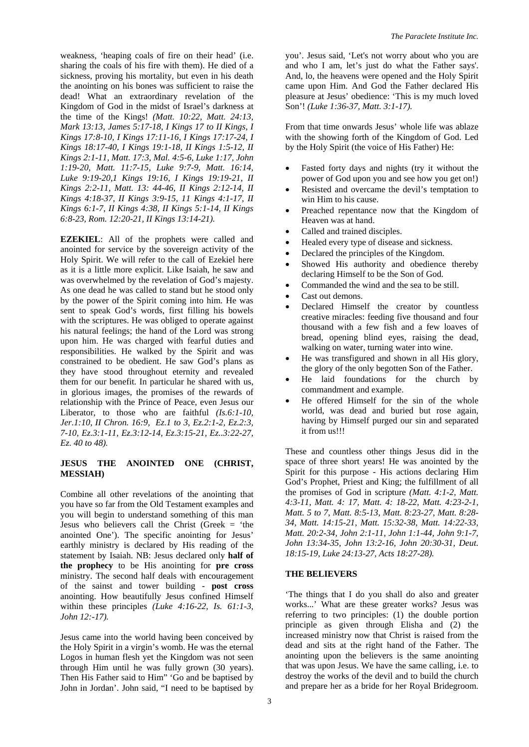weakness, 'heaping coals of fire on their head' (i.e. sharing the coals of his fire with them). He died of a sickness, proving his mortality, but even in his death the anointing on his bones was sufficient to raise the dead! What an extraordinary revelation of the Kingdom of God in the midst of Israel's darkness at the time of the Kings! *(Matt. 10:22, Matt. 24:13, Mark 13:13, James 5:17-18, I Kings 17 to II Kings, I Kings 17:8-10, I Kings 17:11-16, I Kings 17:17-24, I Kings 18:17-40, I Kings 19:1-18, II Kings 1:5-12, II Kings 2:1-11, Matt. 17:3, Mal. 4:5-6, Luke 1:17, John 1:19-20, Matt. 11:7-15, Luke 9:7-9, Matt. 16:14, Luke 9:19-20,1 Kings 19:16, I Kings 19:19-21, II Kings 2:2-11, Matt. 13: 44-46, II Kings 2:12-14, II Kings 4:18-37, II Kings 3:9-15, 11 Kings 4:1-17, II Kings 6:1-7, II Kings 4:38, II Kings 5:1-14, II Kings 6:8-23, Rom. 12:20-21, II Kings 13:14-21).* 

**EZEKIEL**: All of the prophets were called and anointed for service by the sovereign activity of the Holy Spirit. We will refer to the call of Ezekiel here as it is a little more explicit. Like Isaiah, he saw and was overwhelmed by the revelation of God's majesty. As one dead he was called to stand but he stood only by the power of the Spirit coming into him. He was sent to speak God's words, first filling his bowels with the scriptures. He was obliged to operate against his natural feelings; the hand of the Lord was strong upon him. He was charged with fearful duties and responsibilities. He walked by the Spirit and was constrained to be obedient. He saw God's plans as they have stood throughout eternity and revealed them for our benefit. In particular he shared with us, in glorious images, the promises of the rewards of relationship with the Prince of Peace, even Jesus our Liberator, to those who are faithful *(Is.6:1-10, Jer.1:10, II Chron. 16:9, Ez.1 to 3, Ez.2:1-2, Ez.2:3, 7-10, Ez.3:1-11, Ez.3:12-14, Ez.3:15-21, Ez..3:22-27, Ez. 40 to 48).* 

# **JESUS THE ANOINTED ONE (CHRIST, MESSIAH)**

Combine all other revelations of the anointing that you have so far from the Old Testament examples and you will begin to understand something of this man Jesus who believers call the Christ (Greek  $=$  'the anointed One'). The specific anointing for Jesus' earthly ministry is declared by His reading of the statement by Isaiah. NB: Jesus declared only **half of the prophecy** to be His anointing for **pre cross** ministry. The second half deals with encouragement of the sainst and tower building - **post cross** anointing. How beautifully Jesus confined Himself within these principles *(Luke 4:16-22, Is. 61:1-3, John 12:-17).* 

Jesus came into the world having been conceived by the Holy Spirit in a virgin's womb. He was the eternal Logos in human flesh yet the Kingdom was not seen through Him until he was fully grown (30 years). Then His Father said to Him" 'Go and be baptised by John in Jordan'. John said, "I need to be baptised by

you'. Jesus said, 'Let's not worry about who you are and who I am, let's just do what the Father says'. And, lo, the heavens were opened and the Holy Spirit came upon Him. And God the Father declared His pleasure at Jesus' obedience: 'This is my much loved Son'! *(Luke 1:36-37, Matt. 3:1-17).* 

From that time onwards Jesus' whole life was ablaze with the showing forth of the Kingdom of God. Led by the Holy Spirit (the voice of His Father) He:

- Fasted forty days and nights (try it without the power of God upon you and see how you get on!)
- Resisted and overcame the devil's temptation to win Him to his cause.
- Preached repentance now that the Kingdom of Heaven was at hand.
- Called and trained disciples.
- Healed every type of disease and sickness.
- Declared the principles of the Kingdom.
- Showed His authority and obedience thereby declaring Himself to be the Son of God.
- Commanded the wind and the sea to be still.
- Cast out demons.
- Declared Himself the creator by countless creative miracles: feeding five thousand and four thousand with a few fish and a few loaves of bread, opening blind eyes, raising the dead, walking on water, turning water into wine.
- He was transfigured and shown in all His glory, the glory of the only begotten Son of the Father.
- He laid foundations for the church by commandment and example.
- He offered Himself for the sin of the whole world, was dead and buried but rose again, having by Himself purged our sin and separated it from us!!!

These and countless other things Jesus did in the space of three short years! He was anointed by the Spirit for this purpose - His actions declaring Him God's Prophet, Priest and King; the fulfillment of all the promises of God in scripture *(Matt. 4:1-2, Matt. 4:3-11, Matt. 4: 17, Matt. 4: 18-22, Matt. 4:23-2-1, Matt. 5 to 7, Matt. 8:5-13, Matt. 8:23-27, Matt. 8:28- 34, Matt. 14:15-21, Matt. 15:32-38, Matt. 14:22-33, Matt. 20:2-34, John 2:1-11, John 1:1-44, John 9:1-7, John 13:34-35, John 13:2-16, John 20:30-31, Deut. 18:15-19, Luke 24:13-27, Acts 18:27-28).* 

## **THE BELIEVERS**

'The things that I do you shall do also and greater works...' What are these greater works? Jesus was referring to two principles: (1) the double portion principle as given through Elisha and (2) the increased ministry now that Christ is raised from the dead and sits at the right hand of the Father. The anointing upon the believers is the same anointing that was upon Jesus. We have the same calling, i.e. to destroy the works of the devil and to build the church and prepare her as a bride for her Royal Bridegroom.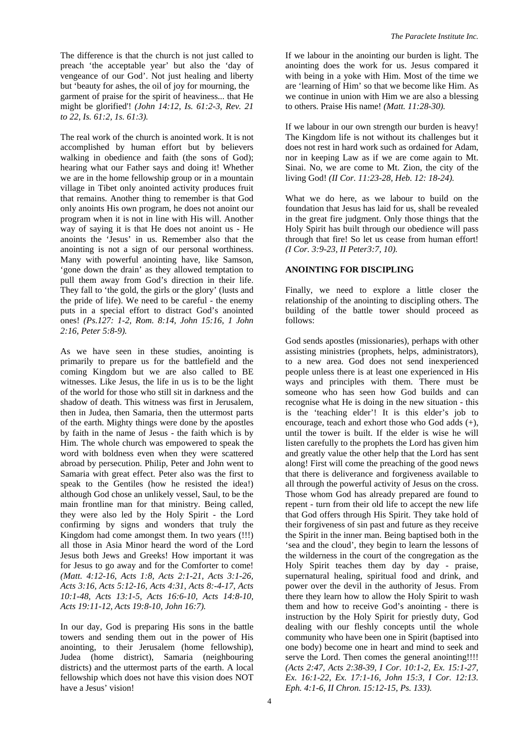The difference is that the church is not just called to preach 'the acceptable year' but also the 'day of vengeance of our God'. Not just healing and liberty but 'beauty for ashes, the oil of joy for mourning, the garment of praise for the spirit of heaviness... that He might be glorified'! *(John 14:12, Is. 61:2-3, Rev. 21 to 22, Is. 61:2, 1s. 61:3).*

The real work of the church is anointed work. It is not accomplished by human effort but by believers walking in obedience and faith (the sons of God); hearing what our Father says and doing it! Whether we are in the home fellowship group or in a mountain village in Tibet only anointed activity produces fruit that remains. Another thing to remember is that God only anoints His own program, he does not anoint our program when it is not in line with His will. Another way of saying it is that He does not anoint us - He anoints the 'Jesus' in us. Remember also that the anointing is not a sign of our personal worthiness. Many with powerful anointing have, like Samson, 'gone down the drain' as they allowed temptation to pull them away from God's direction in their life. They fall to 'the gold, the girls or the glory' (lusts and the pride of life). We need to be careful - the enemy puts in a special effort to distract God's anointed ones! *(Ps.127: 1-2, Rom. 8:14, John 15:16, 1 John 2:16, Peter 5:8-9).* 

As we have seen in these studies, anointing is primarily to prepare us for the battlefield and the coming Kingdom but we are also called to BE witnesses. Like Jesus, the life in us is to be the light of the world for those who still sit in darkness and the shadow of death. This witness was first in Jerusalem, then in Judea, then Samaria, then the uttermost parts of the earth. Mighty things were done by the apostles by faith in the name of Jesus - the faith which is by Him. The whole church was empowered to speak the word with boldness even when they were scattered abroad by persecution. Philip, Peter and John went to Samaria with great effect. Peter also was the first to speak to the Gentiles (how he resisted the idea!) although God chose an unlikely vessel, Saul, to be the main frontline man for that ministry. Being called, they were also led by the Holy Spirit - the Lord confirming by signs and wonders that truly the Kingdom had come amongst them. In two years (!!!) all those in Asia Minor heard the word of the Lord Jesus both Jews and Greeks! How important it was for Jesus to go away and for the Comforter to come! *(Matt. 4:12-16, Acts 1:8, Acts 2:1-21, Acts 3:1-26, Acts 3:16, Acts 5:12-16, Acts 4:31, Acts 8:-4-17, Acts 10:1-48, Acts 13:1-5, Acts 16:6-10, Acts 14:8-10, Acts 19:11-12, Acts 19:8-10, John 16:7).* 

In our day, God is preparing His sons in the battle towers and sending them out in the power of His anointing, to their Jerusalem (home fellowship), Judea (home district), Samaria (neighbouring districts) and the uttermost parts of the earth. A local fellowship which does not have this vision does NOT have a Jesus' vision!

If we labour in the anointing our burden is light. The anointing does the work for us. Jesus compared it with being in a yoke with Him. Most of the time we are 'learning of Him' so that we become like Him. As we continue in union with Him we are also a blessing to others. Praise His name! *(Matt. 11:28-30).* 

If we labour in our own strength our burden is heavy! The Kingdom life is not without its challenges but it does not rest in hard work such as ordained for Adam, nor in keeping Law as if we are come again to Mt. Sinai. No, we are come to Mt. Zion, the city of the living God! *(II Cor. 11:23-28, Heb. 12: 18-24).* 

What we do here, as we labour to build on the foundation that Jesus has laid for us, shall be revealed in the great fire judgment. Only those things that the Holy Spirit has built through our obedience will pass through that fire! So let us cease from human effort! *(I Cor. 3:9-23, II Peter3:7, 10).*

#### **ANOINTING FOR DISCIPLING**

Finally, we need to explore a little closer the relationship of the anointing to discipling others. The building of the battle tower should proceed as follows:

God sends apostles (missionaries), perhaps with other assisting ministries (prophets, helps, administrators), to a new area. God does not send inexperienced people unless there is at least one experienced in His ways and principles with them. There must be someone who has seen how God builds and can recognise what He is doing in the new situation - this is the 'teaching elder'! It is this elder's job to encourage, teach and exhort those who God adds (+), until the tower is built. If the elder is wise he will listen carefully to the prophets the Lord has given him and greatly value the other help that the Lord has sent along! First will come the preaching of the good news that there is deliverance and forgiveness available to all through the powerful activity of Jesus on the cross. Those whom God has already prepared are found to repent - turn from their old life to accept the new life that God offers through His Spirit. They take hold of their forgiveness of sin past and future as they receive the Spirit in the inner man. Being baptised both in the 'sea and the cloud', they begin to learn the lessons of the wilderness in the court of the congregation as the Holy Spirit teaches them day by day - praise, supernatural healing, spiritual food and drink, and power over the devil in the authority of Jesus. From there they learn how to allow the Holy Spirit to wash them and how to receive God's anointing - there is instruction by the Holy Spirit for priestly duty, God dealing with our fleshly concepts until the whole community who have been one in Spirit (baptised into one body) become one in heart and mind to seek and serve the Lord. Then comes the general anointing!!!! *(Acts 2:47, Acts 2:38-39, I Cor. 10:1-2, Ex. 15:1-27, Ex. 16:1-22, Ex. 17:1-16, John 15:3, I Cor. 12:13. Eph. 4:1-6, II Chron. 15:12-15, Ps. 133).*